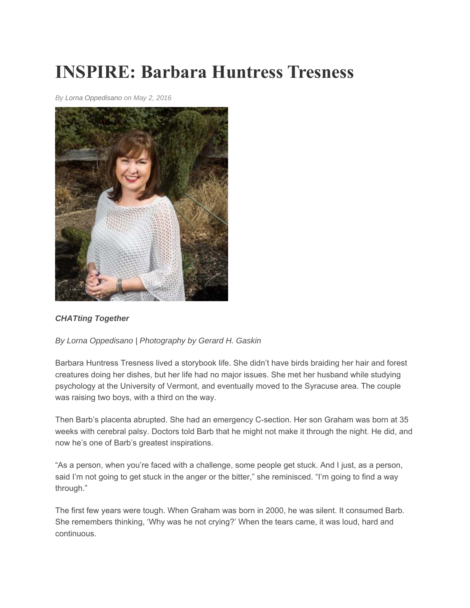## **INSPIRE: Barbara Huntress Tresness**

*By Lorna Oppedisano on May 2, 2016* 



## *CHATting Together*

## *By Lorna Oppedisano | Photography by Gerard H. Gaskin*

Barbara Huntress Tresness lived a storybook life. She didn't have birds braiding her hair and forest creatures doing her dishes, but her life had no major issues. She met her husband while studying psychology at the University of Vermont, and eventually moved to the Syracuse area. The couple was raising two boys, with a third on the way.

Then Barb's placenta abrupted. She had an emergency C-section. Her son Graham was born at 35 weeks with cerebral palsy. Doctors told Barb that he might not make it through the night. He did, and now he's one of Barb's greatest inspirations.

"As a person, when you're faced with a challenge, some people get stuck. And I just, as a person, said I'm not going to get stuck in the anger or the bitter," she reminisced. "I'm going to find a way through."

The first few years were tough. When Graham was born in 2000, he was silent. It consumed Barb. She remembers thinking, 'Why was he not crying?' When the tears came, it was loud, hard and continuous.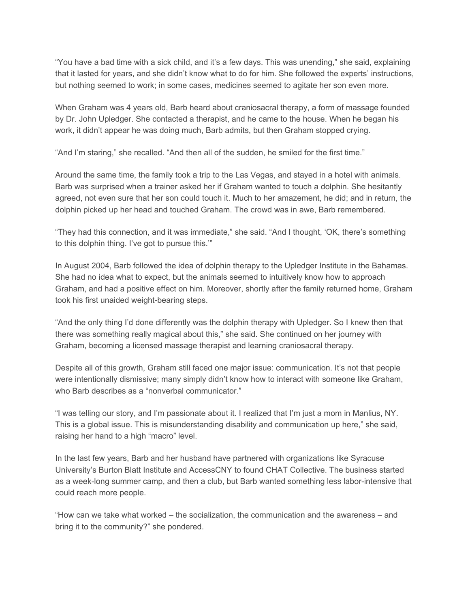"You have a bad time with a sick child, and it's a few days. This was unending," she said, explaining that it lasted for years, and she didn't know what to do for him. She followed the experts' instructions, but nothing seemed to work; in some cases, medicines seemed to agitate her son even more.

When Graham was 4 years old, Barb heard about craniosacral therapy, a form of massage founded by Dr. John Upledger. She contacted a therapist, and he came to the house. When he began his work, it didn't appear he was doing much, Barb admits, but then Graham stopped crying.

"And I'm staring," she recalled. "And then all of the sudden, he smiled for the first time."

Around the same time, the family took a trip to the Las Vegas, and stayed in a hotel with animals. Barb was surprised when a trainer asked her if Graham wanted to touch a dolphin. She hesitantly agreed, not even sure that her son could touch it. Much to her amazement, he did; and in return, the dolphin picked up her head and touched Graham. The crowd was in awe, Barb remembered.

"They had this connection, and it was immediate," she said. "And I thought, 'OK, there's something to this dolphin thing. I've got to pursue this.'"

In August 2004, Barb followed the idea of dolphin therapy to the Upledger Institute in the Bahamas. She had no idea what to expect, but the animals seemed to intuitively know how to approach Graham, and had a positive effect on him. Moreover, shortly after the family returned home, Graham took his first unaided weight-bearing steps.

"And the only thing I'd done differently was the dolphin therapy with Upledger. So I knew then that there was something really magical about this," she said. She continued on her journey with Graham, becoming a licensed massage therapist and learning craniosacral therapy.

Despite all of this growth, Graham still faced one major issue: communication. It's not that people were intentionally dismissive; many simply didn't know how to interact with someone like Graham, who Barb describes as a "nonverbal communicator."

"I was telling our story, and I'm passionate about it. I realized that I'm just a mom in Manlius, NY. This is a global issue. This is misunderstanding disability and communication up here," she said, raising her hand to a high "macro" level.

In the last few years, Barb and her husband have partnered with organizations like Syracuse University's Burton Blatt Institute and AccessCNY to found CHAT Collective. The business started as a week-long summer camp, and then a club, but Barb wanted something less labor-intensive that could reach more people.

"How can we take what worked – the socialization, the communication and the awareness – and bring it to the community?" she pondered.